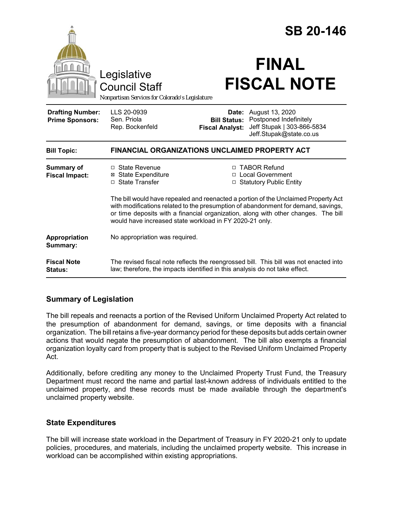|                                                   |                                                                                                                                                                                                                                                                                                                          | <b>SB 20-146</b>                |                                                                                                                        |
|---------------------------------------------------|--------------------------------------------------------------------------------------------------------------------------------------------------------------------------------------------------------------------------------------------------------------------------------------------------------------------------|---------------------------------|------------------------------------------------------------------------------------------------------------------------|
|                                                   | Legislative<br><b>Council Staff</b><br>Nonpartisan Services for Colorado's Legislature                                                                                                                                                                                                                                   |                                 | <b>FINAL</b><br><b>FISCAL NOTE</b>                                                                                     |
| <b>Drafting Number:</b><br><b>Prime Sponsors:</b> | LLS 20-0939<br>Sen. Priola<br>Rep. Bockenfeld                                                                                                                                                                                                                                                                            | Date:<br><b>Fiscal Analyst:</b> | August 13, 2020<br><b>Bill Status: Postponed Indefinitely</b><br>Jeff Stupak   303-866-5834<br>Jeff.Stupak@state.co.us |
| <b>Bill Topic:</b>                                | <b>FINANCIAL ORGANIZATIONS UNCLAIMED PROPERTY ACT</b>                                                                                                                                                                                                                                                                    |                                 |                                                                                                                        |
| <b>Summary of</b><br><b>Fiscal Impact:</b>        | $\Box$ State Revenue<br><b>⊠</b> State Expenditure<br>□ State Transfer                                                                                                                                                                                                                                                   |                                 | □ TABOR Refund<br>□ Local Government<br>□ Statutory Public Entity                                                      |
|                                                   | The bill would have repealed and reenacted a portion of the Unclaimed Property Act<br>with modifications related to the presumption of abandonment for demand, savings,<br>or time deposits with a financial organization, along with other changes. The bill<br>would have increased state workload in FY 2020-21 only. |                                 |                                                                                                                        |
| Appropriation<br>Summary:                         | No appropriation was required.                                                                                                                                                                                                                                                                                           |                                 |                                                                                                                        |
| <b>Fiscal Note</b><br><b>Status:</b>              | The revised fiscal note reflects the reengrossed bill. This bill was not enacted into<br>law; therefore, the impacts identified in this analysis do not take effect.                                                                                                                                                     |                                 |                                                                                                                        |

## **Summary of Legislation**

The bill repeals and reenacts a portion of the Revised Uniform Unclaimed Property Act related to the presumption of abandonment for demand, savings, or time deposits with a financial organization. The bill retains a five-year dormancy period for these deposits but adds certain owner actions that would negate the presumption of abandonment. The bill also exempts a financial organization loyalty card from property that is subject to the Revised Uniform Unclaimed Property Act.

Additionally, before crediting any money to the Unclaimed Property Trust Fund, the Treasury Department must record the name and partial last-known address of individuals entitled to the unclaimed property, and these records must be made available through the department's unclaimed property website.

## **State Expenditures**

The bill will increase state workload in the Department of Treasury in FY 2020-21 only to update policies, procedures, and materials, including the unclaimed property website. This increase in workload can be accomplished within existing appropriations.